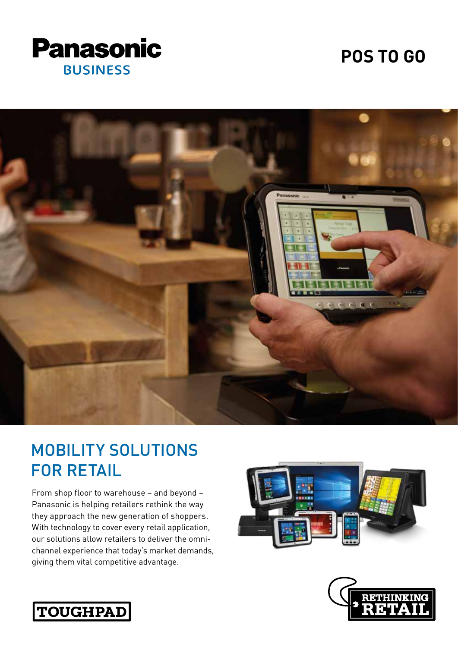

# **POS TO GO**



# MOBILITY SOLUTIONS FOR RETAIL

From shop floor to warehouse – and beyond – Panasonic is helping retailers rethink the way they approach the new generation of shoppers. With technology to cover every retail application, our solutions allow retailers to deliver the omnichannel experience that today's market demands, giving them vital competitive advantage.